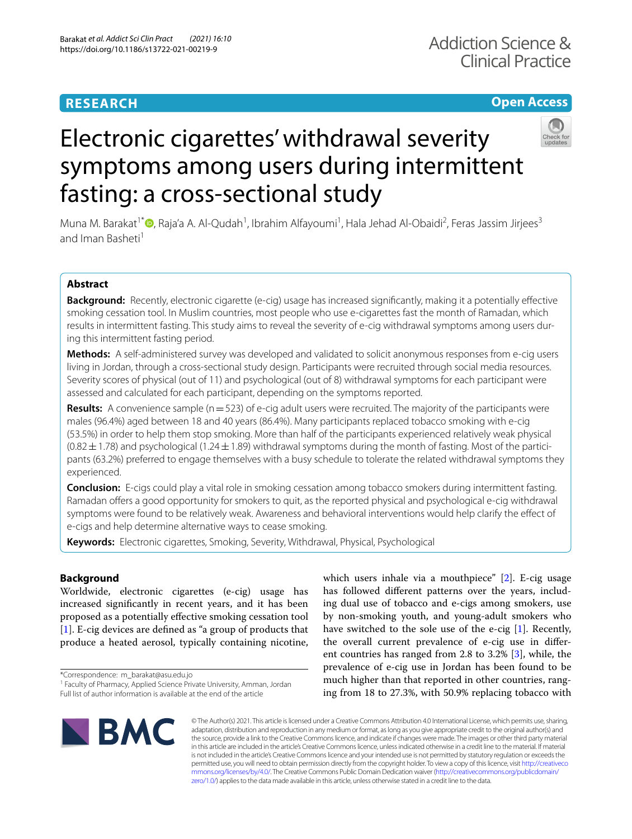# **RESEARCH**

# **Open Access**



# Electronic cigarettes' withdrawal severity symptoms among users during intermittent fasting: a cross-sectional study

Muna M. Barakat<sup>1\*</sup>®[,](http://orcid.org/0000-0002-7966-1172) Raja'a A. Al-Qudah<sup>1</sup>, Ibrahim Alfayoumi<sup>1</sup>, Hala Jehad Al-Obaidi<sup>2</sup>, Feras Jassim Jirjees<sup>3</sup> and Iman Basheti<sup>1</sup>

# **Abstract**

**Background:** Recently, electronic cigarette (e-cig) usage has increased significantly, making it a potentially effective smoking cessation tool. In Muslim countries, most people who use e-cigarettes fast the month of Ramadan, which results in intermittent fasting. This study aims to reveal the severity of e-cig withdrawal symptoms among users during this intermittent fasting period.

**Methods:** A self-administered survey was developed and validated to solicit anonymous responses from e-cig users living in Jordan, through a cross-sectional study design. Participants were recruited through social media resources. Severity scores of physical (out of 11) and psychological (out of 8) withdrawal symptoms for each participant were assessed and calculated for each participant, depending on the symptoms reported.

**Results:** A convenience sample (n = 523) of e-cig adult users were recruited. The majority of the participants were males (96.4%) aged between 18 and 40 years (86.4%). Many participants replaced tobacco smoking with e-cig (53.5%) in order to help them stop smoking. More than half of the participants experienced relatively weak physical  $(0.82 \pm 1.78)$  and psychological (1.24  $\pm$  1.89) withdrawal symptoms during the month of fasting. Most of the participants (63.2%) preferred to engage themselves with a busy schedule to tolerate the related withdrawal symptoms they experienced.

**Conclusion:** E-cigs could play a vital role in smoking cessation among tobacco smokers during intermittent fasting. Ramadan offers a good opportunity for smokers to quit, as the reported physical and psychological e-cig withdrawal symptoms were found to be relatively weak. Awareness and behavioral interventions would help clarify the effect of e-cigs and help determine alternative ways to cease smoking.

**Keywords:** Electronic cigarettes, Smoking, Severity, Withdrawal, Physical, Psychological

# **Background**

Worldwide, electronic cigarettes (e-cig) usage has increased significantly in recent years, and it has been proposed as a potentially effective smoking cessation tool [[1\]](#page-8-0). E-cig devices are defined as "a group of products that produce a heated aerosol, typically containing nicotine,

\*Correspondence: m\_barakat@asu.edu.jo

which users inhale via a mouthpiece" [\[2](#page-8-1)]. E-cig usage has followed different patterns over the years, including dual use of tobacco and e-cigs among smokers, use by non-smoking youth, and young-adult smokers who have switched to the sole use of the e-cig [[1\]](#page-8-0). Recently, the overall current prevalence of e-cig use in different countries has ranged from 2.8 to 3.2% [[3\]](#page-8-2), while, the prevalence of e-cig use in Jordan has been found to be much higher than that reported in other countries, ranging from 18 to 27.3%, with 50.9% replacing tobacco with



© The Author(s) 2021. This article is licensed under a Creative Commons Attribution 4.0 International License, which permits use, sharing, adaptation, distribution and reproduction in any medium or format, as long as you give appropriate credit to the original author(s) and the source, provide a link to the Creative Commons licence, and indicate if changes were made. The images or other third party material in this article are included in the article's Creative Commons licence, unless indicated otherwise in a credit line to the material. If material is not included in the article's Creative Commons licence and your intended use is not permitted by statutory regulation or exceeds the permitted use, you will need to obtain permission directly from the copyright holder. To view a copy of this licence, visit http://creativeco mmons.org/licenses/by/4.0/. The Creative Commons Public Domain Dedication waiver (http://creativecommons.org/publicdomain/ [zero/1.0/\)](http://creativecommons.org/publicdomain/zero/1.0/) applies to the data made available in this article, unless otherwise stated in a credit line to the data.

<sup>&</sup>lt;sup>1</sup> Faculty of Pharmacy, Applied Science Private University, Amman, Jordan Full list of author information is available at the end of the article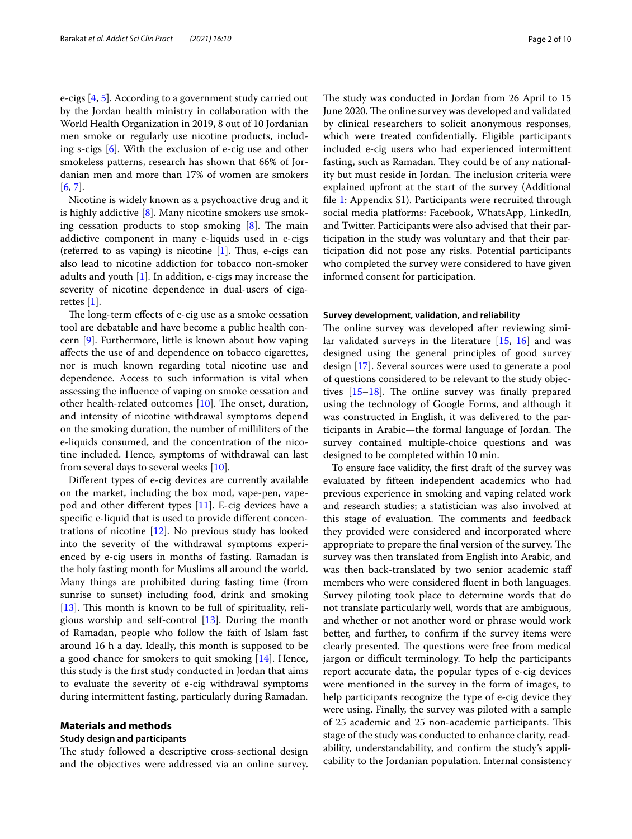e-cigs [[4,](#page-8-3) [5](#page-8-4)]. According to a government study carried out by the Jordan health ministry in collaboration with the World Health Organization in 2019, 8 out of 10 Jordanian men smoke or regularly use nicotine products, including s-cigs [[6\]](#page-8-5). With the exclusion of e-cig use and other smokeless patterns, research has shown that 66% of Jordanian men and more than 17% of women are smokers [[6,](#page-8-5) [7](#page-8-6)].

Nicotine is widely known as a psychoactive drug and it is highly addictive [[8\]](#page-8-7). Many nicotine smokers use smoking cessation products to stop smoking  $[8]$  $[8]$ . The main addictive component in many e-liquids used in e-cigs (referred to as vaping) is nicotine  $[1]$  $[1]$ . Thus, e-cigs can also lead to nicotine addiction for tobacco non-smoker adults and youth [\[1](#page-8-0)]. In addition, e-cigs may increase the severity of nicotine dependence in dual-users of cigarettes [\[1](#page-8-0)].

The long-term effects of e-cig use as a smoke cessation tool are debatable and have become a public health concern [\[9](#page-8-8)]. Furthermore, little is known about how vaping affects the use of and dependence on tobacco cigarettes, nor is much known regarding total nicotine use and dependence. Access to such information is vital when assessing the influence of vaping on smoke cessation and other health-related outcomes [\[10](#page-8-9)]. The onset, duration, and intensity of nicotine withdrawal symptoms depend on the smoking duration, the number of milliliters of the e-liquids consumed, and the concentration of the nicotine included. Hence, symptoms of withdrawal can last from several days to several weeks [\[10](#page-8-9)].

Different types of e-cig devices are currently available on the market, including the box mod, vape-pen, vapepod and other different types [\[11\]](#page-8-10). E-cig devices have a specific e-liquid that is used to provide different concentrations of nicotine [[12](#page-8-11)]. No previous study has looked into the severity of the withdrawal symptoms experienced by e-cig users in months of fasting. Ramadan is the holy fasting month for Muslims all around the world. Many things are prohibited during fasting time (from sunrise to sunset) including food, drink and smoking [[13\]](#page-8-12). This month is known to be full of spirituality, religious worship and self-control [\[13](#page-8-12)]. During the month of Ramadan, people who follow the faith of Islam fast around 16 h a day. Ideally, this month is supposed to be a good chance for smokers to quit smoking [[14\]](#page-8-13). Hence, this study is the first study conducted in Jordan that aims to evaluate the severity of e-cig withdrawal symptoms during intermittent fasting, particularly during Ramadan.

#### **Materials and methods**

#### **Study design and participants**

The study followed a descriptive cross-sectional design and the objectives were addressed via an online survey.

The study was conducted in Jordan from 26 April to 15 June 2020. The online survey was developed and validated by clinical researchers to solicit anonymous responses, which were treated confidentially. Eligible participants included e-cig users who had experienced intermittent fasting, such as Ramadan. They could be of any nationality but must reside in Jordan. The inclusion criteria were explained upfront at the start of the survey (Additional file [1:](#page-7-0) Appendix S1). Participants were recruited through social media platforms: Facebook, WhatsApp, LinkedIn, and Twitter. Participants were also advised that their participation in the study was voluntary and that their participation did not pose any risks. Potential participants who completed the survey were considered to have given informed consent for participation.

#### **Survey development, validation, and reliability**

The online survey was developed after reviewing similar validated surveys in the literature [\[15](#page-8-14), [16](#page-8-15)] and was designed using the general principles of good survey design [\[17\]](#page-8-16). Several sources were used to generate a pool of questions considered to be relevant to the study objectives [[15–](#page-8-14)[18](#page-8-17)]. The online survey was finally prepared using the technology of Google Forms, and although it was constructed in English, it was delivered to the participants in Arabic—the formal language of Jordan. The survey contained multiple-choice questions and was designed to be completed within 10 min.

To ensure face validity, the first draft of the survey was evaluated by fifteen independent academics who had previous experience in smoking and vaping related work and research studies; a statistician was also involved at this stage of evaluation. The comments and feedback they provided were considered and incorporated where appropriate to prepare the final version of the survey. The survey was then translated from English into Arabic, and was then back-translated by two senior academic staff members who were considered fluent in both languages. Survey piloting took place to determine words that do not translate particularly well, words that are ambiguous, and whether or not another word or phrase would work better, and further, to confirm if the survey items were clearly presented. The questions were free from medical jargon or difficult terminology. To help the participants report accurate data, the popular types of e-cig devices were mentioned in the survey in the form of images, to help participants recognize the type of e-cig device they were using. Finally, the survey was piloted with a sample of 25 academic and 25 non-academic participants. This stage of the study was conducted to enhance clarity, readability, understandability, and confirm the study's applicability to the Jordanian population. Internal consistency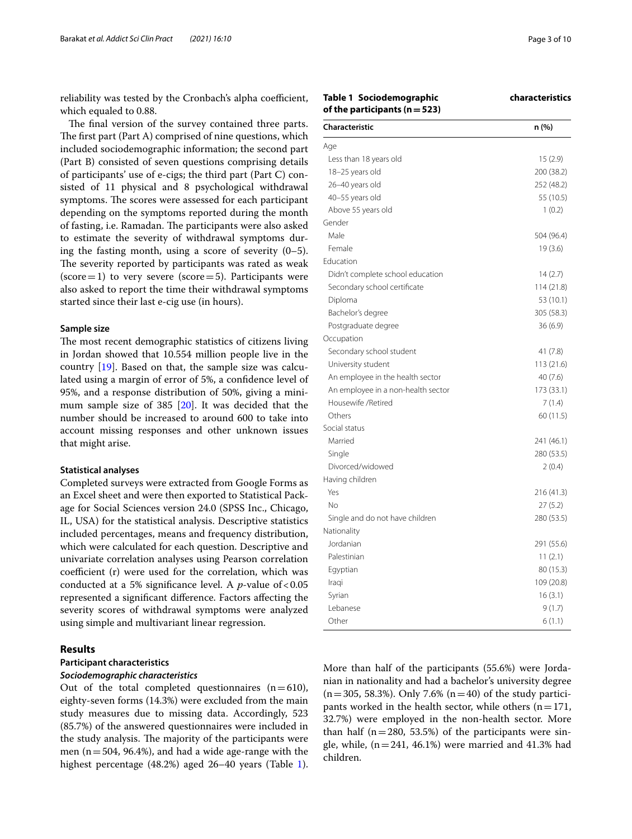reliability was tested by the Cronbach's alpha coefficient, which equaled to 0.88.

The final version of the survey contained three parts. The first part (Part A) comprised of nine questions, which included sociodemographic information; the second part (Part B) consisted of seven questions comprising details of participants' use of e-cigs; the third part (Part C) consisted of 11 physical and 8 psychological withdrawal symptoms. The scores were assessed for each participant depending on the symptoms reported during the month of fasting, i.e. Ramadan. The participants were also asked to estimate the severity of withdrawal symptoms during the fasting month, using a score of severity (0–5). The severity reported by participants was rated as weak  $(score = 1)$  to very severe  $(score = 5)$ . Participants were also asked to report the time their withdrawal symptoms started since their last e-cig use (in hours).

#### **Sample size**

The most recent demographic statistics of citizens living in Jordan showed that 10.554 million people live in the country [\[19](#page-8-18)]. Based on that, the sample size was calculated using a margin of error of 5%, a confidence level of 95%, and a response distribution of 50%, giving a minimum sample size of 385 [\[20](#page-8-19)]. It was decided that the number should be increased to around 600 to take into account missing responses and other unknown issues that might arise.

#### **Statistical analyses**

Completed surveys were extracted from Google Forms as an Excel sheet and were then exported to Statistical Package for Social Sciences version 24.0 (SPSS Inc., Chicago, IL, USA) for the statistical analysis. Descriptive statistics included percentages, means and frequency distribution, which were calculated for each question. Descriptive and univariate correlation analyses using Pearson correlation coefficient (r) were used for the correlation, which was conducted at a 5% significance level. A  $p$ -value of < 0.05 represented a significant difference. Factors affecting the severity scores of withdrawal symptoms were analyzed using simple and multivariant linear regression.

#### **Results**

#### **Participant characteristics Sociodemographic characteristics**

Out of the total completed questionnaires  $(n=610)$ , eighty-seven forms (14.3%) were excluded from the main study measures due to missing data. Accordingly, 523 (85.7%) of the answered questionnaires were included in the study analysis. The majority of the participants were men ( $n = 504$ , 96.4%), and had a wide age-range with the highest percentage (48.2%) aged 26–40 years (Table [1](#page-2-0)).

# <span id="page-2-0"></span>**Table 1 Sociodemographic characteristics**

**of the participants (n = 523)**

| <b>Characteristic</b>              | n (%)      |
|------------------------------------|------------|
| Age                                |            |
| Less than 18 years old             | 15 (2.9)   |
| 18-25 years old                    | 200 (38.2) |
| 26-40 years old                    | 252 (48.2) |
| 40-55 years old                    | 55 (10.5)  |
| Above 55 years old                 | 1(0.2)     |
| Gender                             |            |
| Male                               | 504 (96.4) |
| Female                             | 19 (3.6)   |
| Education                          |            |
| Didn't complete school education   | 14(2.7)    |
| Secondary school certificate       | 114 (21.8) |
| Diploma                            | 53 (10.1)  |
| Bachelor's degree                  | 305 (58.3) |
| Postgraduate degree                | 36(6.9)    |
| Occupation                         |            |
| Secondary school student           | 41 (7.8)   |
| University student                 | 113(21.6)  |
| An employee in the health sector   | 40(7.6)    |
| An employee in a non-health sector | 173 (33.1) |
| Housewife / Retired                | 7(1.4)     |
| Others                             | 60 (11.5)  |
| Social status                      |            |
| Married                            | 241 (46.1) |
| Single                             | 280 (53.5) |
| Divorced/widowed                   | 2(0.4)     |
| Having children                    |            |
| Yes                                | 216 (41.3) |
| No                                 | 27 (5.2)   |
| Single and do not have children    | 280 (53.5) |
| Nationality                        |            |
| Jordanian                          | 291 (55.6) |
| Palestinian                        | 11(2.1)    |
| Egyptian                           | 80 (15.3)  |
| Iraqi                              | 109 (20.8) |
| Syrian                             | 16(3.1)    |
| Lebanese                           | 9(1.7)     |
| Other                              | 6(1.1)     |

More than half of the participants (55.6%) were Jordanian in nationality and had a bachelor's university degree  $(n = 305, 58.3\%)$ . Only 7.6%  $(n = 40)$  of the study participants worked in the health sector, while others  $(n = 171,$ 32.7%) were employed in the non-health sector. More than half  $(n=280, 53.5%)$  of the participants were single, while,  $(n = 241, 46.1%)$  were married and 41.3% had children.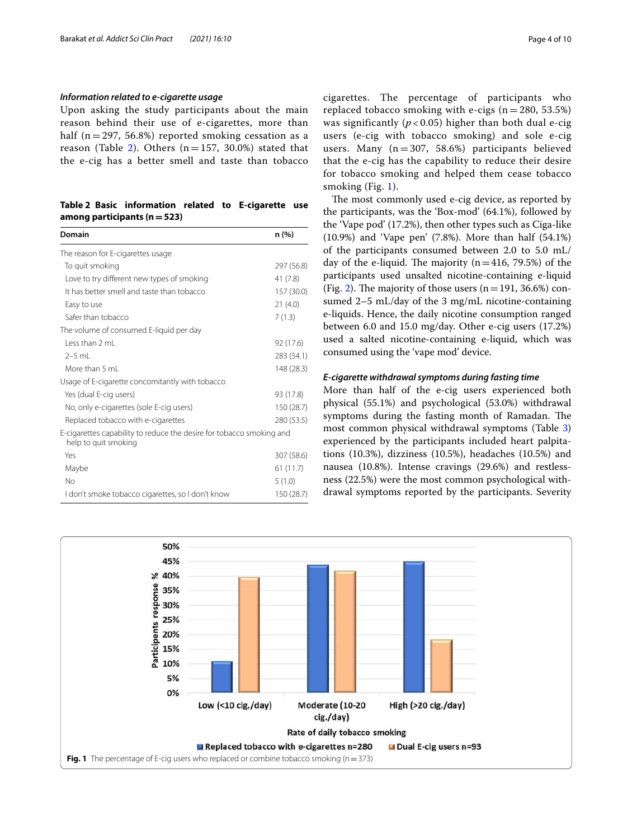#### **Information related to e‑cigarette usage**

Upon asking the study participants about the main reason behind their use of e-cigarettes, more than half ( $n = 297, 56.8\%$ ) reported smoking cessation as a reason (Table [2\)](#page-3-0). Others  $(n = 157, 30.0\%)$  stated that the e-cig has a better smell and taste than tobacco

#### <span id="page-3-0"></span>**Table 2 Basic information related to E-cigarette use among participants (n = 523)**

| Domain                                                                                       | n (%)      |
|----------------------------------------------------------------------------------------------|------------|
| The reason for E-cigarettes usage                                                            |            |
| To quit smoking                                                                              | 297 (56.8) |
| Love to try different new types of smoking                                                   | 41(7.8)    |
| It has better smell and taste than tobacco                                                   | 157 (30.0) |
| Easy to use                                                                                  | 21(4.0)    |
| Safer than tobacco                                                                           | 7(1.3)     |
| The volume of consumed E-liquid per day                                                      |            |
| Less than 2 mL                                                                               | 92 (17.6)  |
| $2-5$ ml                                                                                     | 283 (54.1) |
| More than 5 mL                                                                               | 148 (28.3) |
| Usage of E-cigarette concomitantly with tobacco                                              |            |
| Yes (dual E-cig users)                                                                       | 93 (17.8)  |
| No, only e-cigarettes (sole E-cig users)                                                     | 150 (28.7) |
| Replaced tobacco with e-cigarettes                                                           | 280 (53.5) |
| E-cigarettes capability to reduce the desire for tobacco smoking and<br>help to quit smoking |            |
| Yes                                                                                          | 307 (58.6) |
| Maybe                                                                                        | 61(11.7)   |
| No                                                                                           | 5(1.0)     |
| I don't smoke tobacco cigarettes, so I don't know                                            | 150 (28.7) |

cigarettes. The percentage of participants who replaced tobacco smoking with e-cigs  $(n = 280, 53.5%)$ was significantly ( $p < 0.05$ ) higher than both dual e-cig users (e-cig with tobacco smoking) and sole e-cig users. Many  $(n = 307, 58.6%)$  participants believed that the e-cig has the capability to reduce their desire for tobacco smoking and helped them cease tobacco smoking (Fig. [1](#page-3-1)).

The most commonly used e-cig device, as reported by the participants, was the 'Box-mod' (64.1%), followed by the 'Vape pod' (17.2%), then other types such as Ciga-like (10.9%) and 'Vape pen' (7.8%). More than half (54.1%) of the participants consumed between 2.0 to 5.0 mL/ day of the e-liquid. The majority  $(n=416, 79.5%)$  of the participants used unsalted nicotine-containing e-liquid (Fig. [2](#page-4-0)). The majority of those users  $(n = 191, 36.6%)$  consumed 2–5 mL/day of the 3 mg/mL nicotine-containing e-liquids. Hence, the daily nicotine consumption ranged between 6.0 and 15.0 mg/day. Other e-cig users (17.2%) used a salted nicotine-containing e-liquid, which was consumed using the 'vape mod' device.

#### **E‑cigarette withdrawal symptoms during fasting time**

More than half of the e-cig users experienced both physical (55.1%) and psychological (53.0%) withdrawal symptoms during the fasting month of Ramadan. The most common physical withdrawal symptoms (Table [3](#page-4-1)) experienced by the participants included heart palpitations (10.3%), dizziness (10.5%), headaches (10.5%) and nausea (10.8%). Intense cravings (29.6%) and restlessness (22.5%) were the most common psychological withdrawal symptoms reported by the participants. Severity

<span id="page-3-1"></span>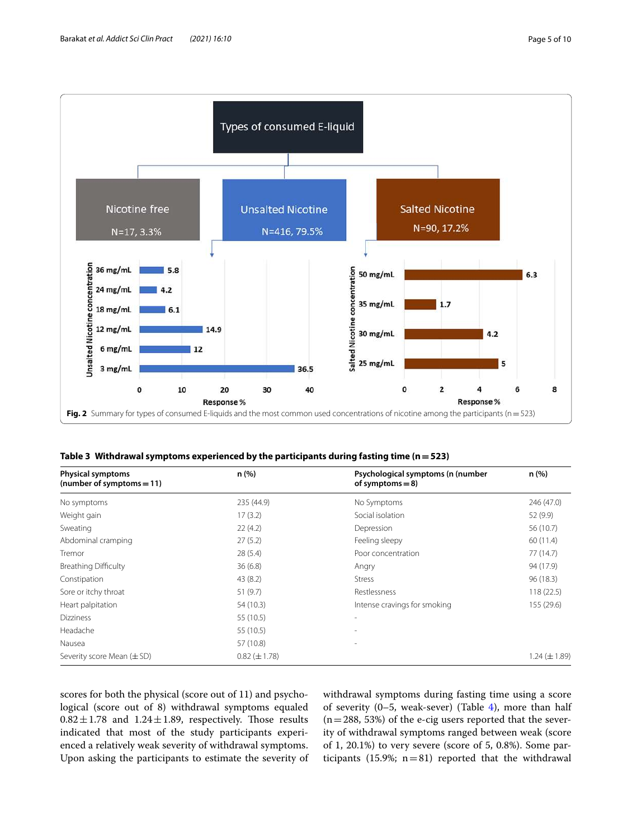

<span id="page-4-1"></span><span id="page-4-0"></span>

| Table 3 Withdrawal symptoms experienced by the participants during fasting time ( $n = 523$ ) |  |  |
|-----------------------------------------------------------------------------------------------|--|--|
|                                                                                               |  |  |

| <b>Physical symptoms</b><br>(number of symptoms = 11) | n(%)                | Psychological symptoms (n (number<br>of symptoms $= 8$ ) | n(%)              |  |
|-------------------------------------------------------|---------------------|----------------------------------------------------------|-------------------|--|
| No symptoms                                           | 235 (44.9)          | No Symptoms                                              | 246 (47.0)        |  |
| Weight gain                                           | 17(3.2)             | Social isolation                                         | 52 (9.9)          |  |
| Sweating                                              | 22(4.2)             | Depression                                               | 56 (10.7)         |  |
| Abdominal cramping                                    | 27(5.2)             | Feeling sleepy                                           | 60(11.4)          |  |
| Tremor                                                | 28(5.4)             | Poor concentration                                       | 77 (14.7)         |  |
| <b>Breathing Difficulty</b>                           | 36(6.8)             | Angry                                                    | 94 (17.9)         |  |
| Constipation                                          | 43(8.2)             | <b>Stress</b>                                            | 96 (18.3)         |  |
| Sore or itchy throat                                  | 51(9.7)             | Restlessness                                             | 118(22.5)         |  |
| Heart palpitation                                     | 54 (10.3)           | Intense cravings for smoking                             | 155 (29.6)        |  |
| <b>Dizziness</b>                                      | 55 (10.5)           | $\overline{\phantom{a}}$                                 |                   |  |
| Headache                                              | 55 (10.5)           | ٠                                                        |                   |  |
| Nausea                                                | 57 (10.8)           | $\overline{\phantom{a}}$                                 |                   |  |
| Severity score Mean $(\pm SD)$                        | $0.82 \ (\pm 1.78)$ |                                                          | $1.24 (\pm 1.89)$ |  |

scores for both the physical (score out of 11) and psychological (score out of 8) withdrawal symptoms equaled  $0.82 \pm 1.78$  and  $1.24 \pm 1.89$ , respectively. Those results indicated that most of the study participants experienced a relatively weak severity of withdrawal symptoms. Upon asking the participants to estimate the severity of withdrawal symptoms during fasting time using a score of severity  $(0-5,$  weak-sever) (Table [4](#page-5-0)), more than half  $(n = 288, 53%)$  of the e-cig users reported that the severity of withdrawal symptoms ranged between weak (score of 1, 20.1%) to very severe (score of 5, 0.8%). Some participants (15.9%;  $n = 81$ ) reported that the withdrawal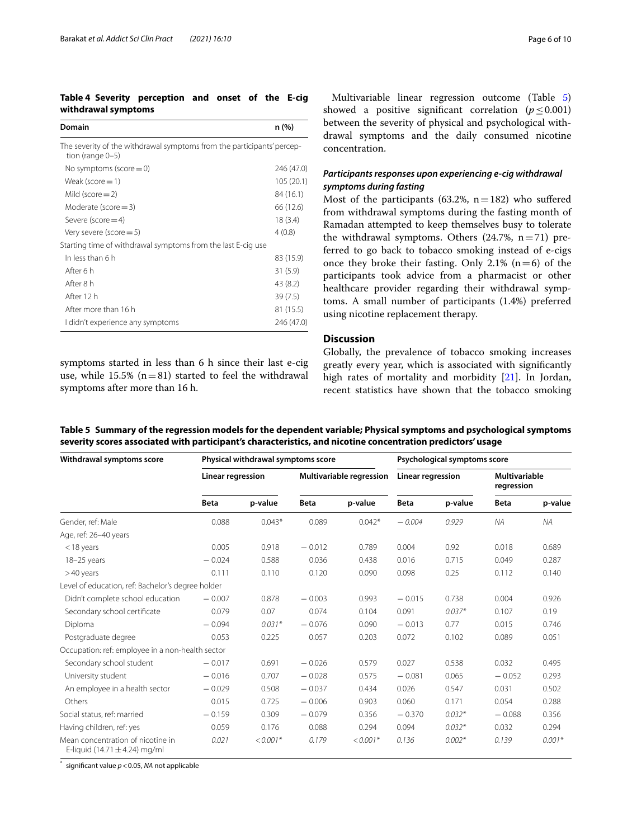### <span id="page-5-0"></span>**Table 4 Severity perception and onset of the E-cig withdrawal symptoms**

| Domain                                                                                        | n (%)      |
|-----------------------------------------------------------------------------------------------|------------|
| The severity of the withdrawal symptoms from the participants' percep-<br>tion (range $0-5$ ) |            |
| No symptoms (score $=$ 0)                                                                     | 246 (47.0) |
| Weak (score $=$ 1)                                                                            | 105 (20.1) |
| Mild (score $=$ 2)                                                                            | 84 (16.1)  |
| Moderate (score $=$ 3)                                                                        | 66 (12.6)  |
| Severe (score $=$ 4)                                                                          | 18(3.4)    |
| Very severe (score $=$ 5)                                                                     | 4(0.8)     |
| Starting time of withdrawal symptoms from the last E-cig use                                  |            |
| In less than 6 h                                                                              | 83 (15.9)  |
| After 6 h                                                                                     | 31(5.9)    |
| After 8 h                                                                                     | 43 (8.2)   |
| After 12 h                                                                                    | 39 (7.5)   |
| After more than 16 h                                                                          | 81 (15.5)  |
| I didn't experience any symptoms                                                              | 246 (47.0) |
|                                                                                               |            |

symptoms started in less than 6 h since their last e-cig use, while 15.5% ( $n = 81$ ) started to feel the withdrawal symptoms after more than 16 h.

Multivariable linear regression outcome (Table [5](#page-5-1)) showed a positive significant correlation ( $p \le 0.001$ ) between the severity of physical and psychological withdrawal symptoms and the daily consumed nicotine concentration.

### **Participants responses upon experiencing e‑cig withdrawal symptoms during fasting**

Most of the participants (63.2%,  $n = 182$ ) who suffered from withdrawal symptoms during the fasting month of Ramadan attempted to keep themselves busy to tolerate the withdrawal symptoms. Others  $(24.7\% , n = 71)$  preferred to go back to tobacco smoking instead of e-cigs once they broke their fasting. Only 2.1%  $(n=6)$  of the participants took advice from a pharmacist or other healthcare provider regarding their withdrawal symptoms. A small number of participants (1.4%) preferred using nicotine replacement therapy.

#### **Discussion**

Globally, the prevalence of tobacco smoking increases greatly every year, which is associated with significantly high rates of mortality and morbidity [[21\]](#page-8-20). In Jordan, recent statistics have shown that the tobacco smoking

<span id="page-5-1"></span>**Table 5 Summary of the regression models for the dependent variable; Physical symptoms and psychological symptoms severity scores associated with participant's characteristics, and nicotine concentration predictors' usage**

| Withdrawal symptoms score                                              | Physical withdrawal symptoms score |            |                          |            | Psychological symptoms score |          |                                    |           |
|------------------------------------------------------------------------|------------------------------------|------------|--------------------------|------------|------------------------------|----------|------------------------------------|-----------|
|                                                                        | Linear regression                  |            | Multivariable regression |            | <b>Linear regression</b>     |          | <b>Multivariable</b><br>regression |           |
|                                                                        | <b>Beta</b>                        | p-value    | <b>Beta</b>              | p-value    | <b>Beta</b>                  | p-value  | <b>Beta</b>                        | p-value   |
| Gender, ref: Male                                                      | 0.088                              | $0.043*$   | 0.089                    | $0.042*$   | $-0.004$                     | 0.929    | NA                                 | <b>NA</b> |
| Age, ref: 26-40 years                                                  |                                    |            |                          |            |                              |          |                                    |           |
| $<$ 18 years                                                           | 0.005                              | 0.918      | $-0.012$                 | 0.789      | 0.004                        | 0.92     | 0.018                              | 0.689     |
| $18 - 25$ years                                                        | $-0.024$                           | 0.588      | 0.036                    | 0.438      | 0.016                        | 0.715    | 0.049                              | 0.287     |
| >40 years                                                              | 0.111                              | 0.110      | 0.120                    | 0.090      | 0.098                        | 0.25     | 0.112                              | 0.140     |
| Level of education, ref: Bachelor's degree holder                      |                                    |            |                          |            |                              |          |                                    |           |
| Didn't complete school education                                       | $-0.007$                           | 0.878      | $-0.003$                 | 0.993      | $-0.015$                     | 0.738    | 0.004                              | 0.926     |
| Secondary school certificate                                           | 0.079                              | 0.07       | 0.074                    | 0.104      | 0.091                        | $0.037*$ | 0.107                              | 0.19      |
| Diploma                                                                | $-0.094$                           | $0.031*$   | $-0.076$                 | 0.090      | $-0.013$                     | 0.77     | 0.015                              | 0.746     |
| Postgraduate degree                                                    | 0.053                              | 0.225      | 0.057                    | 0.203      | 0.072                        | 0.102    | 0.089                              | 0.051     |
| Occupation: ref: employee in a non-health sector                       |                                    |            |                          |            |                              |          |                                    |           |
| Secondary school student                                               | $-0.017$                           | 0.691      | $-0.026$                 | 0.579      | 0.027                        | 0.538    | 0.032                              | 0.495     |
| University student                                                     | $-0.016$                           | 0.707      | $-0.028$                 | 0.575      | $-0.081$                     | 0.065    | $-0.052$                           | 0.293     |
| An employee in a health sector                                         | $-0.029$                           | 0.508      | $-0.037$                 | 0.434      | 0.026                        | 0.547    | 0.031                              | 0.502     |
| Others                                                                 | 0.015                              | 0.725      | $-0.006$                 | 0.903      | 0.060                        | 0.171    | 0.054                              | 0.288     |
| Social status, ref: married                                            | $-0.159$                           | 0.309      | $-0.079$                 | 0.356      | $-0.370$                     | $0.032*$ | $-0.088$                           | 0.356     |
| Having children, ref: yes                                              | 0.059                              | 0.176      | 0.088                    | 0.294      | 0.094                        | $0.032*$ | 0.032                              | 0.294     |
| Mean concentration of nicotine in<br>E-liquid (14.71 $\pm$ 4.24) mg/ml | 0.021                              | $< 0.001*$ | 0.179                    | $< 0.001*$ | 0.136                        | $0.002*$ | 0.139                              | $0.001*$  |

significant value  $p < 0.05$ , NA not applicable

\*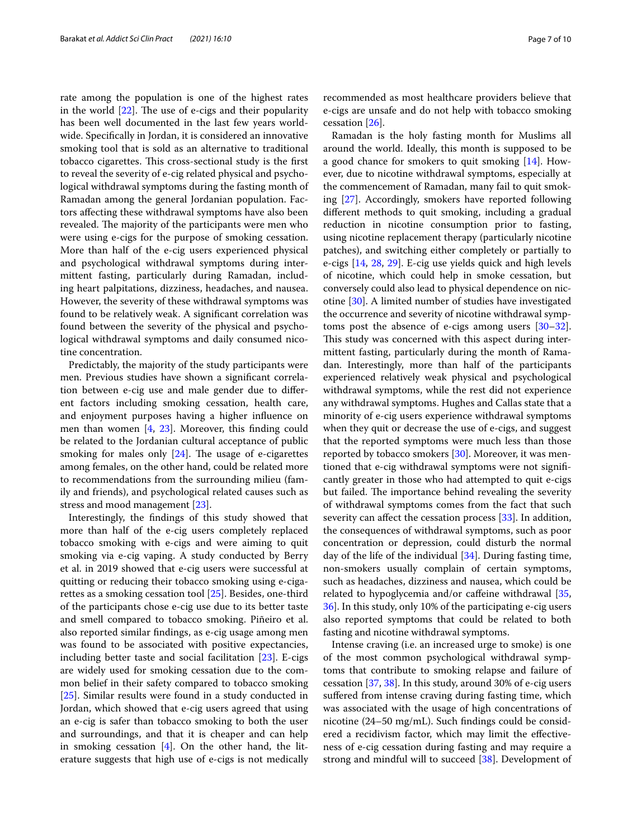rate among the population is one of the highest rates in the world [\[22](#page-8-21)]. The use of e-cigs and their popularity has been well documented in the last few years worldwide. Specifically in Jordan, it is considered an innovative smoking tool that is sold as an alternative to traditional tobacco cigarettes. This cross-sectional study is the first to reveal the severity of e-cig related physical and psychological withdrawal symptoms during the fasting month of Ramadan among the general Jordanian population. Factors affecting these withdrawal symptoms have also been revealed. The majority of the participants were men who were using e-cigs for the purpose of smoking cessation. More than half of the e-cig users experienced physical and psychological withdrawal symptoms during intermittent fasting, particularly during Ramadan, including heart palpitations, dizziness, headaches, and nausea. However, the severity of these withdrawal symptoms was found to be relatively weak. A significant correlation was found between the severity of the physical and psychological withdrawal symptoms and daily consumed nicotine concentration.

Predictably, the majority of the study participants were men. Previous studies have shown a significant correlation between e-cig use and male gender due to different factors including smoking cessation, health care, and enjoyment purposes having a higher influence on men than women [\[4,](#page-8-3) [23](#page-8-22)]. Moreover, this finding could be related to the Jordanian cultural acceptance of public smoking for males only [[24\]](#page-8-23). The usage of e-cigarettes among females, on the other hand, could be related more to recommendations from the surrounding milieu (family and friends), and psychological related causes such as stress and mood management [\[23](#page-8-22)].

Interestingly, the findings of this study showed that more than half of the e-cig users completely replaced tobacco smoking with e-cigs and were aiming to quit smoking via e-cig vaping. A study conducted by Berry et al. in 2019 showed that e-cig users were successful at quitting or reducing their tobacco smoking using e-cigarettes as a smoking cessation tool [\[25](#page-8-24)]. Besides, one-third of the participants chose e-cig use due to its better taste and smell compared to tobacco smoking. Piñeiro et al. also reported similar findings, as e-cig usage among men was found to be associated with positive expectancies, including better taste and social facilitation [[23\]](#page-8-22). E-cigs are widely used for smoking cessation due to the common belief in their safety compared to tobacco smoking [[25\]](#page-8-24). Similar results were found in a study conducted in Jordan, which showed that e-cig users agreed that using an e-cig is safer than tobacco smoking to both the user and surroundings, and that it is cheaper and can help in smoking cessation  $[4]$  $[4]$ . On the other hand, the literature suggests that high use of e-cigs is not medically recommended as most healthcare providers believe that e-cigs are unsafe and do not help with tobacco smoking cessation [[26](#page-8-25)].

Ramadan is the holy fasting month for Muslims all around the world. Ideally, this month is supposed to be a good chance for smokers to quit smoking [\[14](#page-8-13)]. However, due to nicotine withdrawal symptoms, especially at the commencement of Ramadan, many fail to quit smoking [[27\]](#page-8-26). Accordingly, smokers have reported following different methods to quit smoking, including a gradual reduction in nicotine consumption prior to fasting, using nicotine replacement therapy (particularly nicotine patches), and switching either completely or partially to e-cigs [[14,](#page-8-13) [28,](#page-8-27) [29](#page-8-28)]. E-cig use yields quick and high levels of nicotine, which could help in smoke cessation, but conversely could also lead to physical dependence on nicotine [[30](#page-8-29)]. A limited number of studies have investigated the occurrence and severity of nicotine withdrawal symptoms post the absence of e-cigs among users [[30](#page-8-29)[–32](#page-8-30)]. This study was concerned with this aspect during intermittent fasting, particularly during the month of Ramadan. Interestingly, more than half of the participants experienced relatively weak physical and psychological withdrawal symptoms, while the rest did not experience any withdrawal symptoms. Hughes and Callas state that a minority of e-cig users experience withdrawal symptoms when they quit or decrease the use of e-cigs, and suggest that the reported symptoms were much less than those reported by tobacco smokers [[30\]](#page-8-29). Moreover, it was mentioned that e-cig withdrawal symptoms were not significantly greater in those who had attempted to quit e-cigs but failed. The importance behind revealing the severity of withdrawal symptoms comes from the fact that such severity can affect the cessation process [\[33\]](#page-8-31). In addition, the consequences of withdrawal symptoms, such as poor concentration or depression, could disturb the normal day of the life of the individual [\[34](#page-9-0)]. During fasting time, non-smokers usually complain of certain symptoms, such as headaches, dizziness and nausea, which could be related to hypoglycemia and/or caffeine withdrawal [[35](#page-9-1), [36\]](#page-9-2). In this study, only 10% of the participating e-cig users also reported symptoms that could be related to both fasting and nicotine withdrawal symptoms.

Intense craving (i.e. an increased urge to smoke) is one of the most common psychological withdrawal symptoms that contribute to smoking relapse and failure of cessation [[37](#page-9-3), [38\]](#page-9-4). In this study, around 30% of e-cig users suffered from intense craving during fasting time, which was associated with the usage of high concentrations of nicotine (24–50 mg/mL). Such findings could be considered a recidivism factor, which may limit the effectiveness of e-cig cessation during fasting and may require a strong and mindful will to succeed [\[38](#page-9-4)]. Development of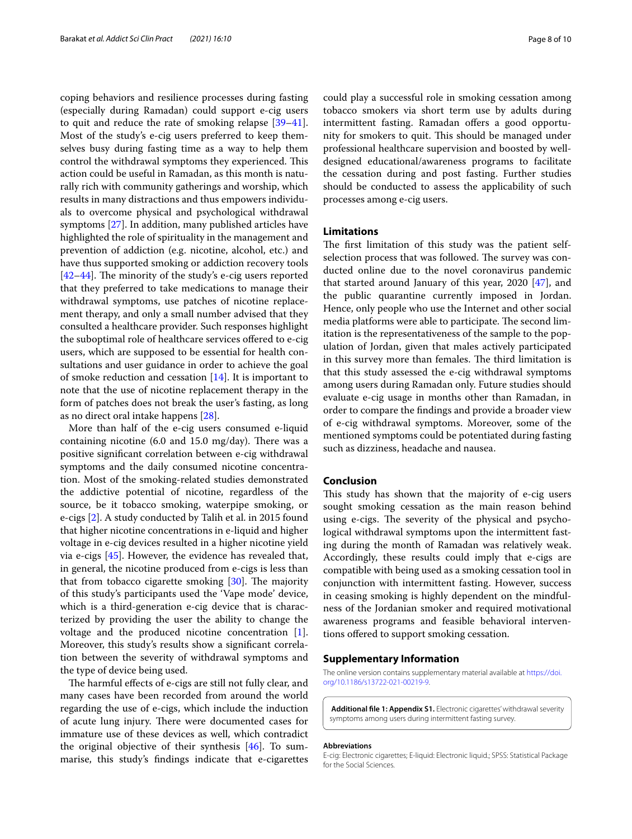coping behaviors and resilience processes during fasting (especially during Ramadan) could support e-cig users to quit and reduce the rate of smoking relapse [[39](#page-9-5)[–41](#page-9-6)]. Most of the study's e-cig users preferred to keep themselves busy during fasting time as a way to help them control the withdrawal symptoms they experienced. This action could be useful in Ramadan, as this month is naturally rich with community gatherings and worship, which results in many distractions and thus empowers individuals to overcome physical and psychological withdrawal symptoms [[27](#page-8-26)]. In addition, many published articles have highlighted the role of spirituality in the management and prevention of addiction (e.g. nicotine, alcohol, etc.) and have thus supported smoking or addiction recovery tools [[42–](#page-9-7)[44](#page-9-8)]. The minority of the study's e-cig users reported that they preferred to take medications to manage their withdrawal symptoms, use patches of nicotine replacement therapy, and only a small number advised that they consulted a healthcare provider. Such responses highlight the suboptimal role of healthcare services offered to e-cig users, which are supposed to be essential for health consultations and user guidance in order to achieve the goal of smoke reduction and cessation  $[14]$ . It is important to note that the use of nicotine replacement therapy in the form of patches does not break the user's fasting, as long as no direct oral intake happens [[28\]](#page-8-27).

More than half of the e-cig users consumed e-liquid containing nicotine (6.0 and 15.0 mg/day). There was a positive significant correlation between e-cig withdrawal symptoms and the daily consumed nicotine concentration. Most of the smoking-related studies demonstrated the addictive potential of nicotine, regardless of the source, be it tobacco smoking, waterpipe smoking, or e-cigs [[2\]](#page-8-1). A study conducted by Talih et al. in 2015 found that higher nicotine concentrations in e-liquid and higher voltage in e-cig devices resulted in a higher nicotine yield via e-cigs [[45\]](#page-9-9). However, the evidence has revealed that, in general, the nicotine produced from e-cigs is less than that from tobacco cigarette smoking [[30\]](#page-8-29). The majority of this study's participants used the 'Vape mode' device, which is a third-generation e-cig device that is characterized by providing the user the ability to change the voltage and the produced nicotine concentration [\[1](#page-8-0)]. Moreover, this study's results show a significant correlation between the severity of withdrawal symptoms and the type of device being used.

The harmful effects of e-cigs are still not fully clear, and many cases have been recorded from around the world regarding the use of e-cigs, which include the induction of acute lung injury. There were documented cases for immature use of these devices as well, which contradict the original objective of their synthesis [\[46](#page-9-10)]. To summarise, this study's findings indicate that e-cigarettes could play a successful role in smoking cessation among tobacco smokers via short term use by adults during intermittent fasting. Ramadan offers a good opportunity for smokers to quit. This should be managed under professional healthcare supervision and boosted by welldesigned educational/awareness programs to facilitate the cessation during and post fasting. Further studies should be conducted to assess the applicability of such processes among e-cig users.

#### **Limitations**

The first limitation of this study was the patient selfselection process that was followed. The survey was conducted online due to the novel coronavirus pandemic that started around January of this year, 2020 [\[47](#page-9-11)], and the public quarantine currently imposed in Jordan. Hence, only people who use the Internet and other social media platforms were able to participate. The second limitation is the representativeness of the sample to the population of Jordan, given that males actively participated in this survey more than females. The third limitation is that this study assessed the e-cig withdrawal symptoms among users during Ramadan only. Future studies should evaluate e-cig usage in months other than Ramadan, in order to compare the findings and provide a broader view of e-cig withdrawal symptoms. Moreover, some of the mentioned symptoms could be potentiated during fasting such as dizziness, headache and nausea.

#### **Conclusion**

This study has shown that the majority of e-cig users sought smoking cessation as the main reason behind using e-cigs. The severity of the physical and psychological withdrawal symptoms upon the intermittent fasting during the month of Ramadan was relatively weak. Accordingly, these results could imply that e-cigs are compatible with being used as a smoking cessation tool in conjunction with intermittent fasting. However, success in ceasing smoking is highly dependent on the mindfulness of the Jordanian smoker and required motivational awareness programs and feasible behavioral interventions offered to support smoking cessation.

#### **Supplementary Information**

The online version contains supplementary material available at https://doi. org/10.1186/s13722-021-00219-9.

<span id="page-7-0"></span>**Additional file 1: Appendix S1.** Electronic cigarettes' withdrawal severity symptoms among users during intermittent fasting survey.

#### **Abbreviations**

E-cig: Electronic cigarettes; E-liquid: Electronic liquid.; SPSS: Statistical Package for the Social Sciences.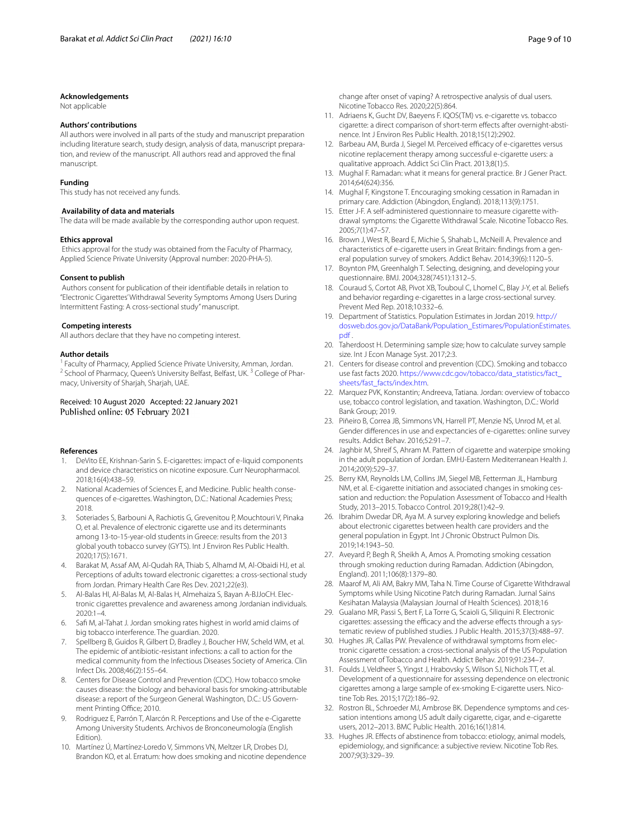#### **Acknowledgements**

Not applicable

#### **Authors' contributions**

All authors were involved in all parts of the study and manuscript preparation including literature search, study design, analysis of data, manuscript preparation, and review of the manuscript. All authors read and approved the final manuscript.

#### **Funding**

This study has not received any funds.

#### **Availability of data and materials**

The data will be made available by the corresponding author upon request.

#### **Ethics approval**

 Ethics approval for the study was obtained from the Faculty of Pharmacy, Applied Science Private University (Approval number: 2020-PHA-5).

#### **Consent to publish**

 Authors consent for publication of their identifiable details in relation to "Electronic Cigarettes' Withdrawal Severity Symptoms Among Users During Intermittent Fasting: A cross-sectional study" manuscript.

#### **Competing interests**

All authors declare that they have no competing interest.

#### **Author details**

<sup>1</sup> Faculty of Pharmacy, Applied Science Private University, Amman, Jordan. <sup>2</sup> School of Pharmacy, Queen's University Belfast, Belfast, UK.<sup>3</sup> College of Pharmacy, University of Sharjah, Sharjah, UAE.

# Received: 10 August 2020 Accepted: 22 January 2021

#### **References**

- <span id="page-8-0"></span> 1. DeVito EE, Krishnan-Sarin S. E-cigarettes: impact of e-liquid components and device characteristics on nicotine exposure. Curr Neuropharmacol. 2018;16(4):438–59.
- <span id="page-8-1"></span> 2. National Academies of Sciences E, and Medicine. Public health consequences of e-cigarettes. Washington, D.C.: National Academies Press; 2018.
- <span id="page-8-2"></span> 3. Soteriades S, Barbouni A, Rachiotis G, Grevenitou P, Mouchtouri V, Pinaka O, et al. Prevalence of electronic cigarette use and its determinants among 13-to-15-year-old students in Greece: results from the 2013 global youth tobacco survey (GYTS). Int J Environ Res Public Health. 2020;17(5):1671.
- <span id="page-8-3"></span> 4. Barakat M, Assaf AM, Al-Qudah RA, Thiab S, Alhamd M, Al-Obaidi HJ, et al. Perceptions of adults toward electronic cigarettes: a cross-sectional study from Jordan. Primary Health Care Res Dev. 2021;22(e3).
- <span id="page-8-4"></span> 5. Al-Balas HI, Al-Balas M, Al-Balas H, Almehaiza S, Bayan A-BJJoCH. Electronic cigarettes prevalence and awareness among Jordanian individuals. 2020:1–4.
- <span id="page-8-5"></span> 6. Safi M, al-Tahat J. Jordan smoking rates highest in world amid claims of big tobacco interference. The guardian. 2020.
- <span id="page-8-6"></span>Spellberg B, Guidos R, Gilbert D, Bradley J, Boucher HW, Scheld WM, et al. The epidemic of antibiotic-resistant infections: a call to action for the medical community from the Infectious Diseases Society of America. Clin Infect Dis. 2008;46(2):155–64.
- <span id="page-8-7"></span> 8. Centers for Disease Control and Prevention (CDC). How tobacco smoke causes disease: the biology and behavioral basis for smoking-attributable disease: a report of the Surgeon General. Washington, D.C.: US Government Printing Office; 2010.
- <span id="page-8-8"></span> 9. Rodriguez E, Parrón T, Alarcón R. Perceptions and Use of the e-Cigarette Among University Students. Archivos de Bronconeumología (English Edition)
- <span id="page-8-9"></span> 10. Martínez Ú, Martínez-Loredo V, Simmons VN, Meltzer LR, Drobes DJ, Brandon KO, et al. Erratum: how does smoking and nicotine dependence

change after onset of vaping? A retrospective analysis of dual users. Nicotine Tobacco Res. 2020;22(5):864.

- <span id="page-8-10"></span> 11. Adriaens K, Gucht DV, Baeyens F. IQOS(TM) vs. e-cigarette vs. tobacco cigarette: a direct comparison of short-term effects after overnight-abstinence. Int J Environ Res Public Health. 2018;15(12):2902.
- <span id="page-8-11"></span> 12. Barbeau AM, Burda J, Siegel M. Perceived efficacy of e-cigarettes versus nicotine replacement therapy among successful e-cigarette users: a qualitative approach. Addict Sci Clin Pract. 2013;8(1):5.
- <span id="page-8-12"></span> 13. Mughal F. Ramadan: what it means for general practice. Br J Gener Pract. 2014;64(624):356.
- <span id="page-8-13"></span> 14. Mughal F, Kingstone T. Encouraging smoking cessation in Ramadan in primary care. Addiction (Abingdon, England). 2018;113(9):1751.
- <span id="page-8-14"></span> 15. Etter J-F. A self-administered questionnaire to measure cigarette withdrawal symptoms: the Cigarette Withdrawal Scale. Nicotine Tobacco Res. 2005;7(1):47–57.
- <span id="page-8-15"></span> 16. Brown J, West R, Beard E, Michie S, Shahab L, McNeill A. Prevalence and characteristics of e-cigarette users in Great Britain: findings from a general population survey of smokers. Addict Behav. 2014;39(6):1120–5.
- <span id="page-8-16"></span> 17. Boynton PM, Greenhalgh T. Selecting, designing, and developing your questionnaire. BMJ. 2004;328(7451):1312–5.
- <span id="page-8-17"></span> 18. Couraud S, Cortot AB, Pivot XB, Touboul C, Lhomel C, Blay J-Y, et al. Beliefs and behavior regarding e-cigarettes in a large cross-sectional survey. Prevent Med Rep. 2018;10:332–6.
- <span id="page-8-18"></span> 19. Department of Statistics. Population Estimates in Jordan 2019. [http://](http://dosweb.dos.gov.jo/DataBank/Population_Estimares/PopulationEstimates.pdf) dosweb.dos.gov.jo/DataBank/Population\_Estimares/PopulationEstimates. [pdf](http://dosweb.dos.gov.jo/DataBank/Population_Estimares/PopulationEstimates.pdf) .
- <span id="page-8-19"></span> 20. Taherdoost H. Determining sample size; how to calculate survey sample size. Int J Econ Manage Syst. 2017;2:3.
- <span id="page-8-20"></span> 21. Centers for disease control and prevention (CDC). Smoking and tobacco use fast facts 2020. https://www.cdc.gov/tobacco/data\_statistics/fact\_ sheets/fast\_facts/index.htm.
- <span id="page-8-21"></span> 22. Marquez PVK, Konstantin; Andreeva, Tatiana. Jordan: overview of tobacco use, tobacco control legislation, and taxation. Washington, D.C.: World Bank Group; 2019.
- <span id="page-8-22"></span> 23. Piñeiro B, Correa JB, Simmons VN, Harrell PT, Menzie NS, Unrod M, et al. Gender differences in use and expectancies of e-cigarettes: online survey results. Addict Behav. 2016;52:91–7.
- <span id="page-8-23"></span> 24. Jaghbir M, Shreif S, Ahram M. Pattern of cigarette and waterpipe smoking in the adult population of Jordan. EMHJ-Eastern Mediterranean Health J. 2014;20(9):529–37.
- <span id="page-8-24"></span> 25. Berry KM, Reynolds LM, Collins JM, Siegel MB, Fetterman JL, Hamburg NM, et al. E-cigarette initiation and associated changes in smoking cessation and reduction: the Population Assessment of Tobacco and Health Study, 2013–2015. Tobacco Control. 2019;28(1):42–9.
- <span id="page-8-25"></span> 26. Ibrahim Dwedar DR, Aya M. A survey exploring knowledge and beliefs about electronic cigarettes between health care providers and the general population in Egypt. Int J Chronic Obstruct Pulmon Dis. 2019;14:1943–50.
- <span id="page-8-26"></span> 27. Aveyard P, Begh R, Sheikh A, Amos A. Promoting smoking cessation through smoking reduction during Ramadan. Addiction (Abingdon, England). 2011;106(8):1379–80.
- <span id="page-8-27"></span> 28. Maarof M, Ali AM, Bakry MM, Taha N. Time Course of Cigarette Withdrawal Symptoms while Using Nicotine Patch during Ramadan. Jurnal Sains Kesihatan Malaysia (Malaysian Journal of Health Sciences). 2018;16
- <span id="page-8-28"></span> 29. Gualano MR, Passi S, Bert F, La Torre G, Scaioli G, Siliquini R. Electronic cigarettes: assessing the efficacy and the adverse effects through a systematic review of published studies. J Public Health. 2015;37(3):488–97.
- <span id="page-8-29"></span> 30. Hughes JR, Callas PW. Prevalence of withdrawal symptoms from electronic cigarette cessation: a cross-sectional analysis of the US Population Assessment of Tobacco and Health. Addict Behav. 2019;91:234–7.
- 31. Foulds J, Veldheer S, Yingst J, Hrabovsky S, Wilson SJ, Nichols TT, et al. Development of a questionnaire for assessing dependence on electronic cigarettes among a large sample of ex-smoking E-cigarette users. Nicotine Tob Res. 2015;17(2):186–92.
- <span id="page-8-30"></span> 32. Rostron BL, Schroeder MJ, Ambrose BK. Dependence symptoms and cessation intentions among US adult daily cigarette, cigar, and e-cigarette users, 2012–2013. BMC Public Health. 2016;16(1):814.
- <span id="page-8-31"></span> 33. Hughes JR. Effects of abstinence from tobacco: etiology, animal models, epidemiology, and significance: a subjective review. Nicotine Tob Res. 2007;9(3):329–39.